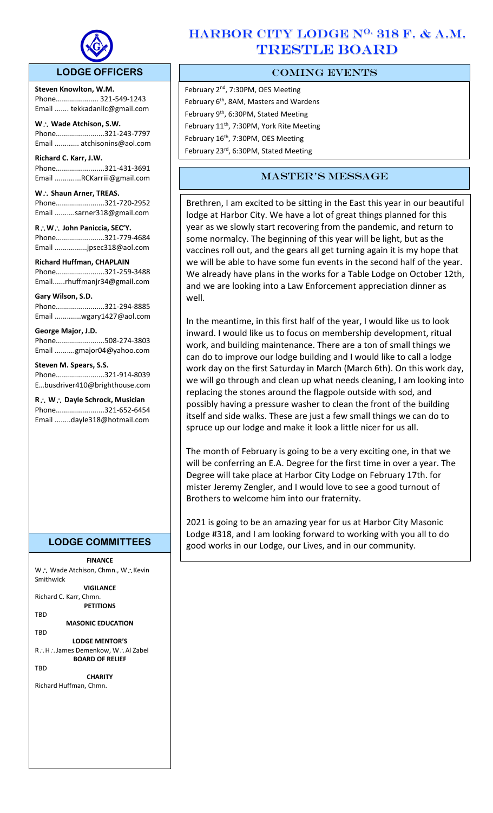

# **LODGE OFFICERS**

**Steven Knowlton, W.M.** Phone..................... 321-549-1243 Email ....... tekkadanllc@gmail.com

 $\overline{a}$ 

**W Wade Atchison, S.W.** Phone........................321-243-7797 Email ............ atchisonins@aol.com

**Richard C. Karr, J.W.**  Phone........................321-431-3691 Email .............RCKarriii@gmail.com

W.: Shaun Arner, TREAS. Phone........................321-720-2952 Email ..........sarner318@gmail.com

**RW John Paniccia, SEC'Y.** Phone........................321-779-4684 Email ................jpsec318@aol.com

**Richard Huffman, CHAPLAIN** Phone........................321-259-3488 Email......rhuffmanjr34@gmail.com

#### **Gary Wilson, S.D.**

Phone........................321-294-8885 Email .............wgary1427@aol.com

#### **George Major, J.D.**

Phone........................508-274-3803 Email ..........gmajor04@yahoo.com

#### **Steven M. Spears, S.S.**

Phone........................321-914-8039 E…busdriver410@brighthouse.com

**R W Dayle Schrock, Musician**  Phone........................321-652-6454 Email ........dayle318@hotmail.com

# **LODGE COMMITTEES**

**FINANCE** W .: Wade Atchison, Chmn., W .: Kevin Smithwick **VIGILANCE** Richard C. Karr, Chmn. **PETITIONS** TBD **MASONIC EDUCATION TRD LODGE MENTOR'S** R∴H∴James Demenkow, W∴Al Zabel **BOARD OF RELIEF TRD CHARITY** Richard Huffman, Chmn.

# HARBOR CITY LODGE N<sup>o.</sup> 318 F. & A.M. TRESTLE BOARD

# COMING EVENTS

February 2<sup>nd</sup>, 7:30PM, OES Meeting February 6<sup>th</sup>, 8AM, Masters and Wardens February 9<sup>th</sup>, 6:30PM, Stated Meeting February 11<sup>th</sup>, 7:30PM, York Rite Meeting February 16<sup>th</sup>, 7:30PM, OES Meeting February 23<sup>rd</sup>, 6:30PM, Stated Meeting

# master's message

Brethren, I am excited to be sitting in the East this year in our beautiful lodge at Harbor City. We have a lot of great things planned for this year as we slowly start recovering from the pandemic, and return to some normalcy. The beginning of this year will be light, but as the vaccines roll out, and the gears all get turning again it is my hope that we will be able to have some fun events in the second half of the year. We already have plans in the works for a Table Lodge on October 12th, and we are looking into a Law Enforcement appreciation dinner as well.

In the meantime, in this first half of the year, I would like us to look inward. I would like us to focus on membership development, ritual work, and building maintenance. There are a ton of small things we can do to improve our lodge building and I would like to call a lodge work day on the first Saturday in March (March 6th). On this work day, we will go through and clean up what needs cleaning, I am looking into replacing the stones around the flagpole outside with sod, and possibly having a pressure washer to clean the front of the building itself and side walks. These are just a few small things we can do to spruce up our lodge and make it look a little nicer for us all.

The month of February is going to be a very exciting one, in that we will be conferring an E.A. Degree for the first time in over a year. The Degree will take place at Harbor City Lodge on February 17th. for mister Jeremy Zengler, and I would love to see a good turnout of Brothers to welcome him into our fraternity.

2021 is going to be an amazing year for us at Harbor City Masonic Lodge #318, and I am looking forward to working with you all to do good works in our Lodge, our Lives, and in our community.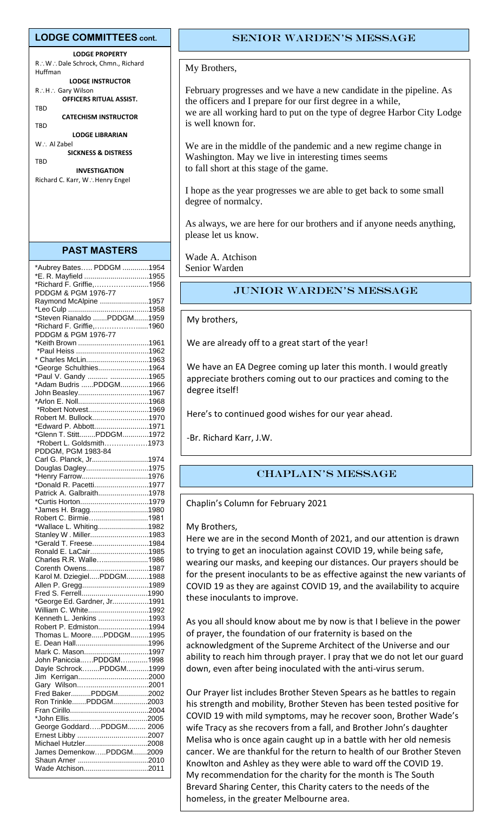#### **LODGE COMMITTEES cont.**

**LODGE PROPERTY** R∴W∴Dale Schrock, Chmn., Richard Huffman **LODGE INSTRUCTOR** R∴H∴ Gary Wilson **OFFICERS RITUAL ASSIST.** TBD **CATECHISM INSTRUCTOR TBD** 

**LODGE LIBRARIAN**

 $W :$  Al Zabel **SICKNESS & DISTRESS TRD** 

**INVESTIGATION** Richard C. Karr, W.: Henry Engel

#### **PAST MASTERS**

| *Aubrey Bates PDDGM 1954                           |  |
|----------------------------------------------------|--|
| *E. R. Mayfield 1955                               |  |
| *Richard F. Griffie,1956                           |  |
| PDDGM & PGM 1976-77                                |  |
| Raymond McAlpine 1957                              |  |
|                                                    |  |
| *Steven Rianaldo PDDGM1959                         |  |
| *Richard F. Griffie,1960                           |  |
| PDDGM & PGM 1976-77                                |  |
|                                                    |  |
|                                                    |  |
| * Charles McLin1963                                |  |
| *George Schulthies1964                             |  |
| *Paul V. Gandy  1965                               |  |
| *Adam Budris PDDGM1966                             |  |
| John Beasley1967                                   |  |
|                                                    |  |
| *Robert Notvest1969                                |  |
| Robert M. Bullock1970                              |  |
| *Edward P. Abbott1971                              |  |
| *Glenn T. StittPDDGM1972                           |  |
| *Robert L. Goldsmith1973                           |  |
| PDDGM, PGM 1983-84                                 |  |
| Carl G. Planck, Jr1974                             |  |
| Douglas Dagley1975                                 |  |
| *Henry Farrow1976                                  |  |
| *Donald R. Pacetti1977                             |  |
| Patrick A. Galbraith1978                           |  |
|                                                    |  |
| *James H. Bragg1980                                |  |
| Robert C. Birmie1981                               |  |
| *Wallace L. Whiting1982                            |  |
| Stanley W. Miller1983                              |  |
| *Gerald T. Freese1984                              |  |
| Ronald E. LaCair1985                               |  |
| Charles R.R. Walle1986                             |  |
| Corenth Owens1987                                  |  |
| Karol M. DziegielPDDGM1988                         |  |
| Allen P. Gregg1989                                 |  |
|                                                    |  |
| *George Ed. Gardner, Jr1991                        |  |
| William C. White1992                               |  |
| Kenneth L. Jenkins 1993                            |  |
|                                                    |  |
| Robert P. Edmiston1994<br>Thomas L. MoorePDDGM1995 |  |
|                                                    |  |
| Mark C. Mason1997                                  |  |
|                                                    |  |
| John PanicciaPDDGM1998                             |  |
| Dayle SchrockPDDGM1999                             |  |
|                                                    |  |
| Fred BakerPDDGM2002                                |  |
|                                                    |  |
| Ron TrinklePDDGM2003                               |  |
|                                                    |  |
|                                                    |  |
| George GoddardPDDGM 2006                           |  |
|                                                    |  |
| Michael Hutzler2008                                |  |
| James DemenkowPDDGM2009                            |  |
|                                                    |  |
| Wade Atchison2011                                  |  |

## Senior Warden's message

#### My Brothers,

February progresses and we have a new candidate in the pipeline. As the officers and I prepare for our first degree in a while, we are all working hard to put on the type of degree Harbor City Lodge is well known for.

We are in the middle of the pandemic and a new regime change in Washington. May we live in interesting times seems to fall short at this stage of the game.

I hope as the year progresses we are able to get back to some small degree of normalcy.

As always, we are here for our brothers and if anyone needs anything, please let us know.

Wade A. Atchison Senior Warden

## JUnior Warden's message

#### My brothers,

We are already off to a great start of the year!

We have an EA Degree coming up later this month. I would greatly appreciate brothers coming out to our practices and coming to the degree itself!

Here's to continued good wishes for our year ahead.

-Br. Richard Karr, J.W.

## CHAPLAIN's message

Chaplin's Column for February 2021

#### My Brothers,

Here we are in the second Month of 2021, and our attention is drawn to trying to get an inoculation against COVID 19, while being safe, wearing our masks, and keeping our distances. Our prayers should be for the present inoculants to be as effective against the new variants of COVID 19 as they are against COVID 19, and the availability to acquire these inoculants to improve.

As you all should know about me by now is that I believe in the power of prayer, the foundation of our fraternity is based on the acknowledgment of the Supreme Architect of the Universe and our ability to reach him through prayer. I pray that we do not let our guard down, even after being inoculated with the anti-virus serum.

Our Prayer list includes Brother Steven Spears as he battles to regain his strength and mobility, Brother Steven has been tested positive for COVID 19 with mild symptoms, may he recover soon, Brother Wade's wife Tracy as she recovers from a fall, and Brother John's daughter Melisa who is once again caught up in a battle with her old nemesis cancer. We are thankful for the return to health of our Brother Steven Knowlton and Ashley as they were able to ward off the COVID 19. My recommendation for the charity for the month is The South Brevard Sharing Center, this Charity caters to the needs of the homeless, in the greater Melbourne area.